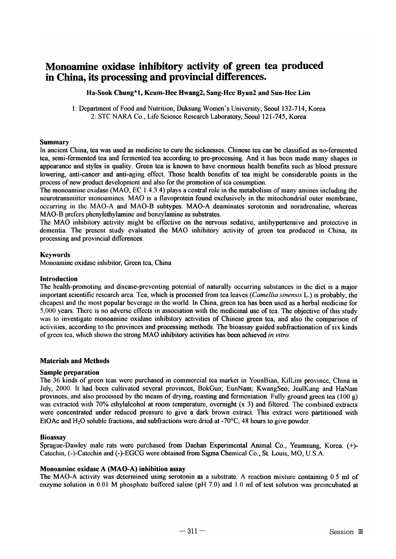# Monoamine oxidase inhibitory activity of green tea produced in China, its processing and provincial differences.

## Ha-Sook Chung\*1, Keum-Hee Hwang2, Sang-Hee Byun2 and Sun-Hee Lim

1: Department of Food and Nutrition, Duksung Women's University, Seoul 132-714, Korea 2: STC NARA Co., Life Science Research Laboratory, Seoul 121-745, Korea

#### Summary

In ancient China, tea was used as medicine to cure the sicknesses. Chinese tea can be classified as no-fermented tea, semi-fermented tea and fertnented tea according to pre-processing. And it has been made many shapes in appearance and styles in quality. Green tea is known to have enormous health benefits such as blood pressure lowering, anti-cancer and anti-aging effect. Those health benefits of tea might be considerable points in the process of new product development and also for the promotion of tea cosumption.

The monoamine oxidase (MAO, EC 1.4.3.4) plays a central role in the metabolism of many amines including the neurotransmitter monoamines. MAO is a flavoprotein found exclusively in the mitochondrial outer membrane, occurring in the MAO-A and MAO-B subtypes. MAO-A deaminates serotonin and noradrenaline, whereas MAO-B prefers phenylethylamine and benzylamine as substrates.

The MAO inhibitory activity might be effective on the nervous sedative, antihypertensive and protective in dementia. The present study evaluated the MAO inhibitory activity of green tea produced in China, its processing and provincial differences.

## Keywords

Monoamine oxidase inhibitor, Green tea, China

#### Introduction

The health-promoting and disease-preventing potential of naturally occurring substances in the diet is a major important scientific research area. Tea, which is processed from tea leaves *(Camellia sinensis* L.) is probably, the cheapest and the most popular beverage in the world. In China, green tea has been used as a herbal medicine for 5,000 years. There is no adverse effects in association with the medicinal use oftea. The objective of this study was to investigate monoamine oxidase inhibitory activities of Chinese green tea, and also the comparison of activities, according to the provinces and processing methods. The bioassay guided subfractionation of six kinds of green tea, which shown the strong MAO inhibitory activities has been achieved *in vitro*.

## Materials and Methods

## Sample preparation

The 36 kinds of green teas were purchased in commercial tea market in YounBian, KilLim province, China in July, 2000. It had been cultivated several provinces, BokGun; EunNam; KwangSeo; JeulKang and HaNam provinces, and also processed by the means of drying, roasting and fermentation. Fully ground green tea (100 g) was extracted with  $70\%$  ethylalcohol at room temperature, overnight  $(x 3)$  and filtered. The combined extracts were concentrated under reduced pressure to give a dark brown extract. This extract were partitioned with EtOAc and H<sub>2</sub>O soluble fractions, and subfractions were dried at -70 $^{\circ}$ C, 48 hours to give powder.

## Bioassay

Sprague-Dawley male rats were purchased from Daehan Experimental Animal Co., Yeumsung, Korea. (+)-Catechin, (-)-Catechin and (-)-EGCG were obtained from Sigma Chemical Co., St. Louis, MO, U.S.A.

## Monoamine oxidase A (MAO-A) inhibition assay

The MAO-A activity was determined using serotonin as a substrate. A reaction mixture containing 0.5 ml of enzyme solution in 0.01 M phosphate buffered saline (pH 7.0) and 1.0 ml of test solution was preincubated at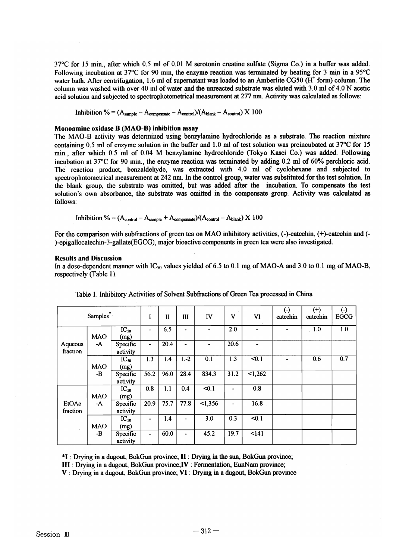37°C for 15 min., after which 0.5 mt of 0.01 M serotonin creatine sulfate (Sigma Co.) in a buffer was added. Following incubation at 37 $\degree$ C for 90 min, the enzyme reaction was terminated by heating for 3 min in a 95 $\degree$ C water bath. After centrifugation, 1.6 ml of supernatant was loaded to an Amberlite CG50 ( $H^+$  form) column. The column was washed with over 40 ml of water and the unreacted substrate was eluted with  $3.0$  ml of  $4.0$  N acetic acid solution and subjected to spectrophotometrical measurement at 277 nm. Activity was calculated as follows:

Inhibition % =  $(A_{sample} - A_{compact} - A_{control})/(A_{blank} - A_{control}) \times 100$ 

#### Monoamine oxidase B (MAO-B) inhibition assay

The MAO-B activity was determined using benzylamine hydrochloride as a substrate. The reaction mixture containing 0.5 ml of enzyme solution in the buffer and 1.0 ml of test solution was preincubated at 37°C for 15 min., after which 0.5 ml of 0.04 M benzylamine hydrochloride (Tokyo Kasei Co.) was added. Following incubation at 37°C for 90 min., the enzyme reaction was terminated by adding 0.2 ml of 60% perchloric acid. The reaction product, benzaldehyde, was extracted with 4.0 m1 of cyclohexane and subjected to spectrophotometrical measurement at 242 nm. In the control group, water was substituted for the test solution. In the blank group, the substrate was omitted, but was added after the incubation. To compensate the test solution's own absorbance, the substrate was omitted in the compensate group. Activity was calculated as follows:

Inhibition. % =  $(A_{\text{control}} - A_{\text{sample}} + A_{\text{compensate}})/(A_{\text{control}} - A_{\text{blank}}) \times 100$ 

For the comparison with subfractions of green tea on MAO inhibitory activities, (-)-catechin, (+)-catechin and (-)-epigallocatechin-3-gallate(EGCG), Inajor bioactive components in green tea were also investigated.

#### Results and Discussion

In a dose-dependent manner with  $IC_{50}$  values yielded of 6.5 to 0.1 mg of MAO-A and 3.0 to 0.1 mg of MAO-B, respectively (Table 1).

| Samples <sup>*</sup> |                  |                      | I                | $_{\rm II}$       | III            | IV                  | V                 | VI    | $\left( \cdot \right)$<br>catechin | $(+)$<br>catechin | $\Theta$<br><b>EGCG</b> |
|----------------------|------------------|----------------------|------------------|-------------------|----------------|---------------------|-------------------|-------|------------------------------------|-------------------|-------------------------|
| Aqueous<br>fraction  | <b>MAO</b><br>-A | $IC_{50}$<br>(mg)    | $\frac{1}{2}$    | 6.5               | $\blacksquare$ | ۰                   | 2.0               | ۰     | $\blacksquare$                     | 1.0               | 1.0                     |
|                      |                  | Specific<br>activity | $\blacksquare$   | $\overline{20.4}$ | $\blacksquare$ |                     | 20.6              |       |                                    |                   |                         |
|                      | MAO<br>-В        | $IC_{50}$<br>(mg)    | 1.3              | 1.4               | $1.-2$         | 0.1                 | 1.3               | 50.1  | ÷                                  | 0.6               | 0.7                     |
|                      |                  | Specific<br>activity | $\frac{1}{56.2}$ | 96.0              | 28.4           | 834.3               | $\overline{31.2}$ | 1,262 |                                    |                   |                         |
| EtOAc<br>fraction    | <b>MAO</b><br>-A | $IC_{50}$<br>(mg)    | 0.8              | 1.1               | 0.4            | < 0.1               | -                 | 0.8   |                                    |                   |                         |
|                      |                  | Specific<br>activity | 20.9             | 75.7              | 77.8           | $\overline{<}1,356$ | Ξ.                | 16.8  |                                    |                   |                         |
|                      | <b>MAO</b><br>-B | $IC_{50}$<br>(mg)    | -                | 1.4               | ٠              | 3.0                 | 0.3               | < 0.1 |                                    |                   |                         |
|                      |                  | Specific<br>activity | $\blacksquare$   | 60.0              | $\blacksquare$ | 45.2                | 19.7              | 141   |                                    |                   |                         |

Table 1. Inhibitory Activities of Solvent Subfractions of Green Tea processed in China

\*1 : Drying in a dugout, BokGun province; II : Drying in the sun, BokGun province;

III : Drying in a dugout, BokGun province;IV : Fermentation, EunNam province;

V : Drying in a dugout, BokGun province; VI : Drying in a dugout, BokGun province